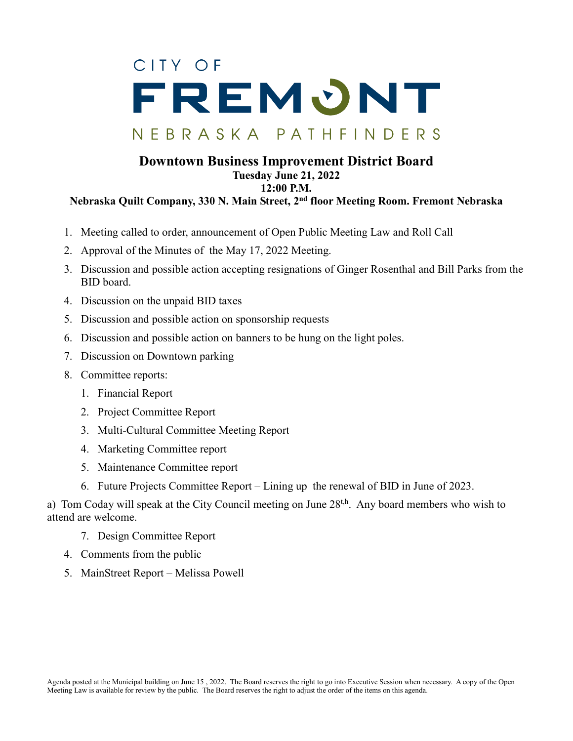## CITY OF FREMONT NEBRASKA PATHFINDERS

## **Downtown Business Improvement District Board Tuesday June 21, 2022 12:00 P.M. Nebraska Quilt Company, 330 N. Main Street, 2nd floor Meeting Room. Fremont Nebraska**

- 1. Meeting called to order, announcement of Open Public Meeting Law and Roll Call
- 2. Approval of the Minutes of the May 17, 2022 Meeting.
- 3. Discussion and possible action accepting resignations of Ginger Rosenthal and Bill Parks from the BID board.
- 4. Discussion on the unpaid BID taxes
- 5. Discussion and possible action on sponsorship requests
- 6. Discussion and possible action on banners to be hung on the light poles.
- 7. Discussion on Downtown parking
- 8. Committee reports:
	- 1. Financial Report
	- 2. Project Committee Report
	- 3. Multi-Cultural Committee Meeting Report
	- 4. Marketing Committee report
	- 5. Maintenance Committee report
	- 6. Future Projects Committee Report Lining up the renewal of BID in June of 2023.

a) Tom Coday will speak at the City Council meeting on June  $28<sup>t,h</sup>$ . Any board members who wish to attend are welcome.

- 7. Design Committee Report
- 4. Comments from the public
- 5. MainStreet Report Melissa Powell